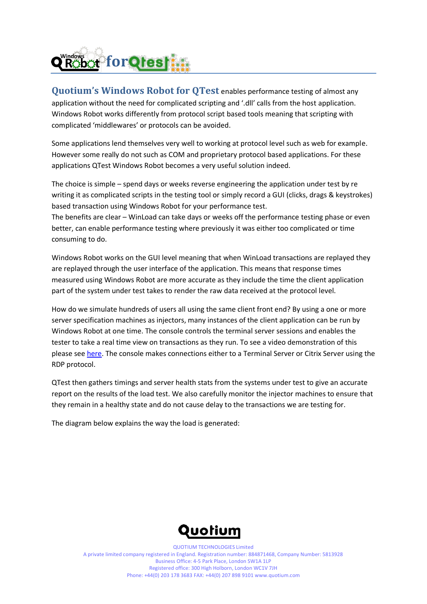

**Quotium's Windows Robot for QTest** enables performance testing of almost any application without the need for complicated scripting and '.dll' calls from the host application. Windows Robot works differently from protocol script based tools meaning that scripting with complicated 'middlewares' or protocols can be avoided.

Some applications lend themselves very well to working at protocol level such as web for example. However some really do not such as COM and proprietary protocol based applications. For these applications QTest Windows Robot becomes a very useful solution indeed.

The choice is simple – spend days or weeks reverse engineering the application under test by re writing it as complicated scripts in the testing tool or simply record a GUI (clicks, drags & keystrokes) based transaction using Windows Robot for your performance test.

The benefits are clear – WinLoad can take days or weeks off the performance testing phase or even better, can enable performance testing where previously it was either too complicated or time consuming to do.

Windows Robot works on the GUI level meaning that when WinLoad transactions are replayed they are replayed through the user interface of the application. This means that response times measured using Windows Robot are more accurate as they include the time the client application part of the system under test takes to render the raw data received at the protocol level.

How do we simulate hundreds of users all using the same client front end? By using a one or more server specification machines as injectors, many instances of the client application can be run by Windows Robot at one time. The console controls the terminal server sessions and enables the tester to take a real time view on transactions as they run. To see a video demonstration of this please see [here.](http://www.quotium.com/Resources/QTestWR_Terminal_Server_Citrix_Performance_Testing.php) The console makes connections either to a Terminal Server or Citrix Server using the RDP protocol.

QTest then gathers timings and server health stats from the systems under test to give an accurate report on the results of the load test. We also carefully monitor the injector machines to ensure that they remain in a healthy state and do not cause delay to the transactions we are testing for.

The diagram below explains the way the load is generated:

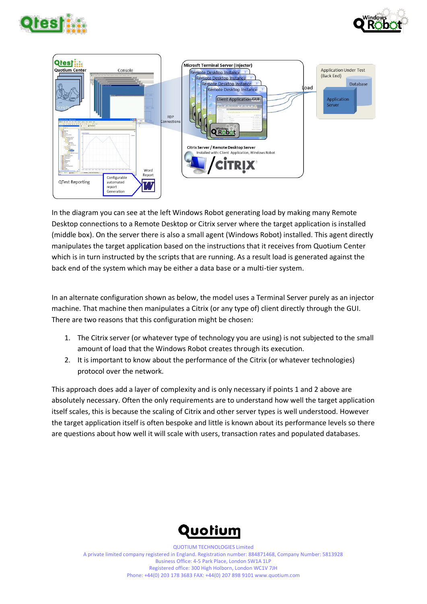



In the diagram you can see at the left Windows Robot generating load by making many Remote Desktop connections to a Remote Desktop or Citrix server where the target application is installed (middle box). On the server there is also a small agent (Windows Robot) installed. This agent directly manipulates the target application based on the instructions that it receives from Quotium Center which is in turn instructed by the scripts that are running. As a result load is generated against the back end of the system which may be either a data base or a multi-tier system.

In an alternate configuration shown as below, the model uses a Terminal Server purely as an injector machine. That machine then manipulates a Citrix (or any type of) client directly through the GUI. There are two reasons that this configuration might be chosen:

- 1. The Citrix server (or whatever type of technology you are using) is not subjected to the small amount of load that the Windows Robot creates through its execution.
- 2. It is important to know about the performance of the Citrix (or whatever technologies) protocol over the network.

This approach does add a layer of complexity and is only necessary if points 1 and 2 above are absolutely necessary. Often the only requirements are to understand how well the target application itself scales, this is because the scaling of Citrix and other server types is well understood. However the target application itself is often bespoke and little is known about its performance levels so there are questions about how well it will scale with users, transaction rates and populated databases.

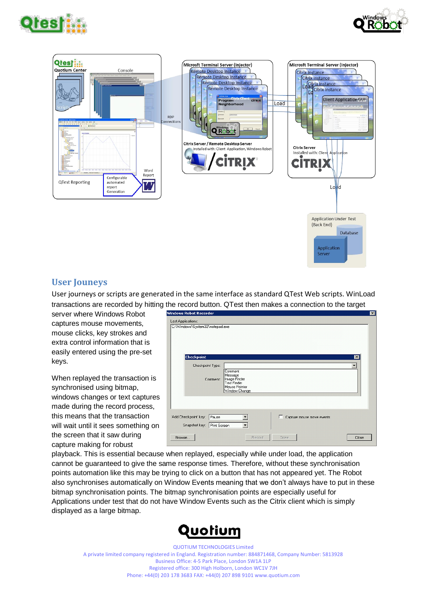## tes





## **User Jouneys**

User journeys or scripts are generated in the same interface as standard QTest Web scripts. WinLoad transactions are recorded by hitting the record button. QTest then makes a connection to the target

server where Windows Robot captures mouse movements, mouse clicks, key strokes and extra control information that is easily entered using the pre-set keys.

When replayed the transaction is synchronised using bitmap, windows changes or text captures made during the record process, this means that the transaction will wait until it sees something on the screen that it saw during capture making for robust

| <b>Windows Robot Recorder</b><br>Last Applications:                                  |                                                                                     |                           |                           |
|--------------------------------------------------------------------------------------|-------------------------------------------------------------------------------------|---------------------------|---------------------------|
| C:\Windows\System32\notepad.exe<br><b>Checkpoint</b><br>Checkpoint Type:<br>Comment: | Comment<br>Message<br>Image Finder<br>Text Finder<br>Mouse Pointer<br>Window Change |                           | ⊠<br>$\blacktriangledown$ |
| 'Add Checkpoint' key:   Pause<br>Snapshot key: Print Screen                          | $\overline{\phantom{0}}$                                                            | Capture mouse move events |                           |
| Browse                                                                               | Record                                                                              | Done                      | Close                     |

playback. This is essential because when replayed, especially while under load, the application cannot be guaranteed to give the same response times. Therefore, without these synchronisation points automation like this may be trying to click on a button that has not appeared yet. The Robot also synchronises automatically on Window Events meaning that we don't always have to put in these bitmap synchronisation points. The bitmap synchronisation points are especially useful for Applications under test that do not have Window Events such as the Citrix client which is simply displayed as a large bitmap.